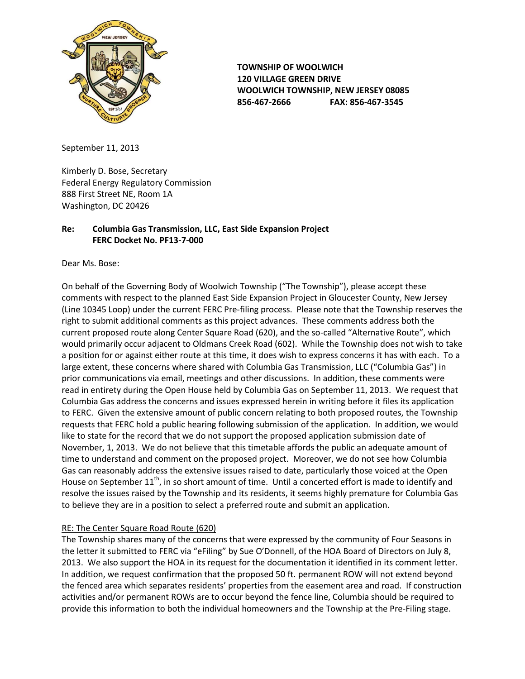

**TOWNSHIP OF WOOLWICH 120 VILLAGE GREEN DRIVE WOOLWICH TOWNSHIP, NEW JERSEY 08085 856-467-2666 FAX: 856-467-3545**

September 11, 2013

Kimberly D. Bose, Secretary Federal Energy Regulatory Commission 888 First Street NE, Room 1A Washington, DC 20426

# **Re: Columbia Gas Transmission, LLC, East Side Expansion Project FERC Docket No. PF13-7-000**

Dear Ms. Bose:

On behalf of the Governing Body of Woolwich Township ("The Township"), please accept these comments with respect to the planned East Side Expansion Project in Gloucester County, New Jersey (Line 10345 Loop) under the current FERC Pre-filing process. Please note that the Township reserves the right to submit additional comments as this project advances. These comments address both the current proposed route along Center Square Road (620), and the so-called "Alternative Route", which would primarily occur adjacent to Oldmans Creek Road (602). While the Township does not wish to take a position for or against either route at this time, it does wish to express concerns it has with each. To a large extent, these concerns where shared with Columbia Gas Transmission, LLC ("Columbia Gas") in prior communications via email, meetings and other discussions. In addition, these comments were read in entirety during the Open House held by Columbia Gas on September 11, 2013. We request that Columbia Gas address the concerns and issues expressed herein in writing before it files its application to FERC. Given the extensive amount of public concern relating to both proposed routes, the Township requests that FERC hold a public hearing following submission of the application. In addition, we would like to state for the record that we do not support the proposed application submission date of November, 1, 2013. We do not believe that this timetable affords the public an adequate amount of time to understand and comment on the proposed project. Moreover, we do not see how Columbia Gas can reasonably address the extensive issues raised to date, particularly those voiced at the Open House on September 11<sup>th</sup>, in so short amount of time. Until a concerted effort is made to identify and resolve the issues raised by the Township and its residents, it seems highly premature for Columbia Gas to believe they are in a position to select a preferred route and submit an application.

# RE: The Center Square Road Route (620)

The Township shares many of the concerns that were expressed by the community of Four Seasons in the letter it submitted to FERC via "eFiling" by Sue O'Donnell, of the HOA Board of Directors on July 8, 2013. We also support the HOA in its request for the documentation it identified in its comment letter. In addition, we request confirmation that the proposed 50 ft. permanent ROW will not extend beyond the fenced area which separates residents' properties from the easement area and road. If construction activities and/or permanent ROWs are to occur beyond the fence line, Columbia should be required to provide this information to both the individual homeowners and the Township at the Pre-Filing stage.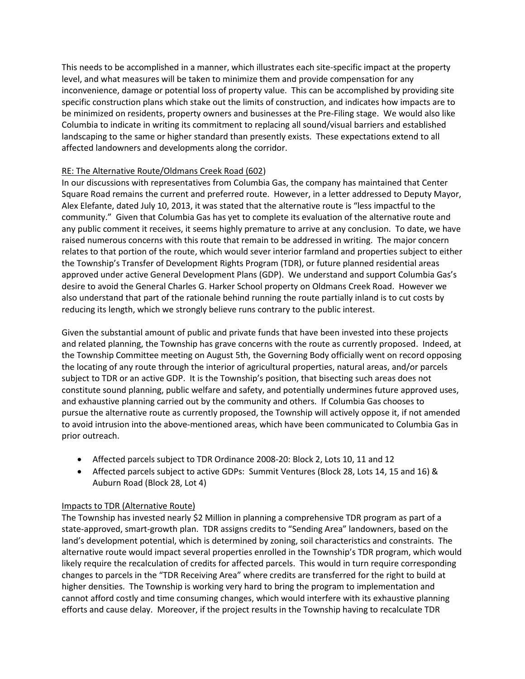This needs to be accomplished in a manner, which illustrates each site-specific impact at the property level, and what measures will be taken to minimize them and provide compensation for any inconvenience, damage or potential loss of property value. This can be accomplished by providing site specific construction plans which stake out the limits of construction, and indicates how impacts are to be minimized on residents, property owners and businesses at the Pre-Filing stage. We would also like Columbia to indicate in writing its commitment to replacing all sound/visual barriers and established landscaping to the same or higher standard than presently exists. These expectations extend to all affected landowners and developments along the corridor.

### RE: The Alternative Route/Oldmans Creek Road (602)

In our discussions with representatives from Columbia Gas, the company has maintained that Center Square Road remains the current and preferred route. However, in a letter addressed to Deputy Mayor, Alex Elefante, dated July 10, 2013, it was stated that the alternative route is "less impactful to the community." Given that Columbia Gas has yet to complete its evaluation of the alternative route and any public comment it receives, it seems highly premature to arrive at any conclusion. To date, we have raised numerous concerns with this route that remain to be addressed in writing. The major concern relates to that portion of the route, which would sever interior farmland and properties subject to either the Township's Transfer of Development Rights Program (TDR), or future planned residential areas approved under active General Development Plans (GDP). We understand and support Columbia Gas's desire to avoid the General Charles G. Harker School property on Oldmans Creek Road. However we also understand that part of the rationale behind running the route partially inland is to cut costs by reducing its length, which we strongly believe runs contrary to the public interest.

Given the substantial amount of public and private funds that have been invested into these projects and related planning, the Township has grave concerns with the route as currently proposed. Indeed, at the Township Committee meeting on August 5th, the Governing Body officially went on record opposing the locating of any route through the interior of agricultural properties, natural areas, and/or parcels subject to TDR or an active GDP. It is the Township's position, that bisecting such areas does not constitute sound planning, public welfare and safety, and potentially undermines future approved uses, and exhaustive planning carried out by the community and others. If Columbia Gas chooses to pursue the alternative route as currently proposed, the Township will actively oppose it, if not amended to avoid intrusion into the above-mentioned areas, which have been communicated to Columbia Gas in prior outreach.

- Affected parcels subject to TDR Ordinance 2008-20: Block 2, Lots 10, 11 and 12
- Affected parcels subject to active GDPs: Summit Ventures (Block 28, Lots 14, 15 and 16) & Auburn Road (Block 28, Lot 4)

### Impacts to TDR (Alternative Route)

The Township has invested nearly \$2 Million in planning a comprehensive TDR program as part of a state-approved, smart-growth plan. TDR assigns credits to "Sending Area" landowners, based on the land's development potential, which is determined by zoning, soil characteristics and constraints. The alternative route would impact several properties enrolled in the Township's TDR program, which would likely require the recalculation of credits for affected parcels. This would in turn require corresponding changes to parcels in the "TDR Receiving Area" where credits are transferred for the right to build at higher densities. The Township is working very hard to bring the program to implementation and cannot afford costly and time consuming changes, which would interfere with its exhaustive planning efforts and cause delay. Moreover, if the project results in the Township having to recalculate TDR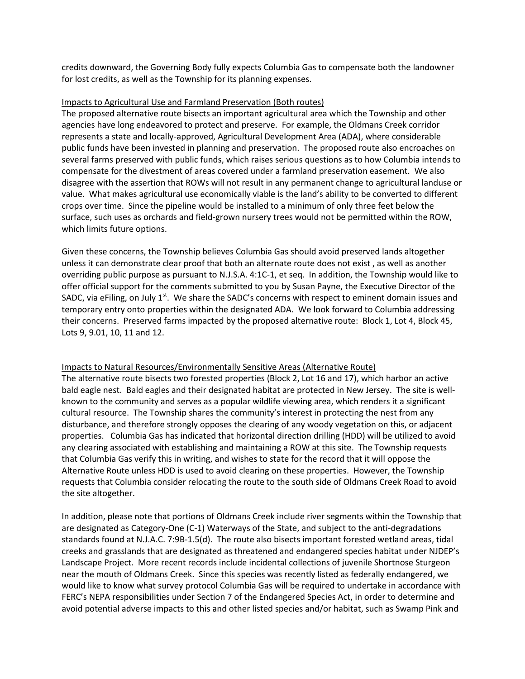credits downward, the Governing Body fully expects Columbia Gas to compensate both the landowner for lost credits, as well as the Township for its planning expenses.

#### Impacts to Agricultural Use and Farmland Preservation (Both routes)

The proposed alternative route bisects an important agricultural area which the Township and other agencies have long endeavored to protect and preserve. For example, the Oldmans Creek corridor represents a state and locally-approved, Agricultural Development Area (ADA), where considerable public funds have been invested in planning and preservation. The proposed route also encroaches on several farms preserved with public funds, which raises serious questions as to how Columbia intends to compensate for the divestment of areas covered under a farmland preservation easement. We also disagree with the assertion that ROWs will not result in any permanent change to agricultural landuse or value. What makes agricultural use economically viable is the land's ability to be converted to different crops over time. Since the pipeline would be installed to a minimum of only three feet below the surface, such uses as orchards and field-grown nursery trees would not be permitted within the ROW, which limits future options.

Given these concerns, the Township believes Columbia Gas should avoid preserved lands altogether unless it can demonstrate clear proof that both an alternate route does not exist , as well as another overriding public purpose as pursuant to N.J.S.A. 4:1C-1, et seq. In addition, the Township would like to offer official support for the comments submitted to you by Susan Payne, the Executive Director of the SADC, via eFiling, on July  $1<sup>st</sup>$ . We share the SADC's concerns with respect to eminent domain issues and temporary entry onto properties within the designated ADA. We look forward to Columbia addressing their concerns. Preserved farms impacted by the proposed alternative route: Block 1, Lot 4, Block 45, Lots 9, 9.01, 10, 11 and 12.

### Impacts to Natural Resources/Environmentally Sensitive Areas (Alternative Route)

The alternative route bisects two forested properties (Block 2, Lot 16 and 17), which harbor an active bald eagle nest. Bald eagles and their designated habitat are protected in New Jersey. The site is wellknown to the community and serves as a popular wildlife viewing area, which renders it a significant cultural resource. The Township shares the community's interest in protecting the nest from any disturbance, and therefore strongly opposes the clearing of any woody vegetation on this, or adjacent properties. Columbia Gas has indicated that horizontal direction drilling (HDD) will be utilized to avoid any clearing associated with establishing and maintaining a ROW at this site. The Township requests that Columbia Gas verify this in writing, and wishes to state for the record that it will oppose the Alternative Route unless HDD is used to avoid clearing on these properties. However, the Township requests that Columbia consider relocating the route to the south side of Oldmans Creek Road to avoid the site altogether.

In addition, please note that portions of Oldmans Creek include river segments within the Township that are designated as Category-One (C-1) Waterways of the State, and subject to the anti-degradations standards found at N.J.A.C. 7:9B-1.5(d). The route also bisects important forested wetland areas, tidal creeks and grasslands that are designated as threatened and endangered species habitat under NJDEP's Landscape Project. More recent records include incidental collections of juvenile Shortnose Sturgeon near the mouth of Oldmans Creek. Since this species was recently listed as federally endangered, we would like to know what survey protocol Columbia Gas will be required to undertake in accordance with FERC's NEPA responsibilities under Section 7 of the Endangered Species Act, in order to determine and avoid potential adverse impacts to this and other listed species and/or habitat, such as Swamp Pink and